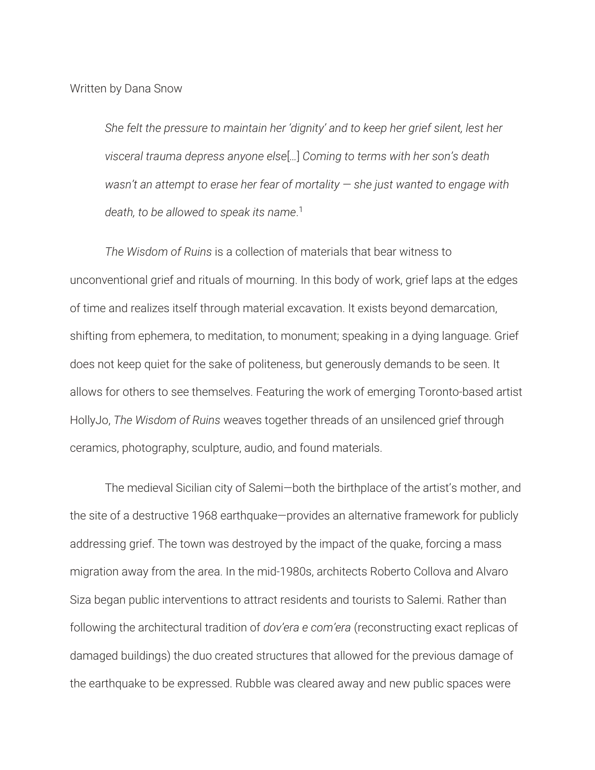Written by Dana Snow

*She felt the pressure to maintain her 'dignity' and to keep her grief silent, lest her visceral trauma depress anyone else*[*…*] *Coming to terms with her son's death wasn't an attempt to erase her fear of mortality — she just wanted to engage with death, to be allowed to speak its name*. 1

*The Wisdom of Ruins* is a collection of materials that bear witness to unconventional grief and rituals of mourning. In this body of work, grief laps at the edges of time and realizes itself through material excavation. It exists beyond demarcation, shifting from ephemera, to meditation, to monument; speaking in a dying language. Grief does not keep quiet for the sake of politeness, but generously demands to be seen. It allows for others to see themselves. Featuring the work of emerging Toronto-based artist HollyJo, *The Wisdom of Ruins* weaves together threads of an unsilenced grief through ceramics, photography, sculpture, audio, and found materials.

The medieval Sicilian city of Salemi—both the birthplace of the artist's mother, and the site of a destructive 1968 earthquake—provides an alternative framework for publicly addressing grief. The town was destroyed by the impact of the quake, forcing a mass migration away from the area. In the mid-1980s, architects Roberto Collova and Alvaro Siza began public interventions to attract residents and tourists to Salemi. Rather than following the architectural tradition of *dov'era e com'era* (reconstructing exact replicas of damaged buildings) the duo created structures that allowed for the previous damage of the earthquake to be expressed. Rubble was cleared away and new public spaces were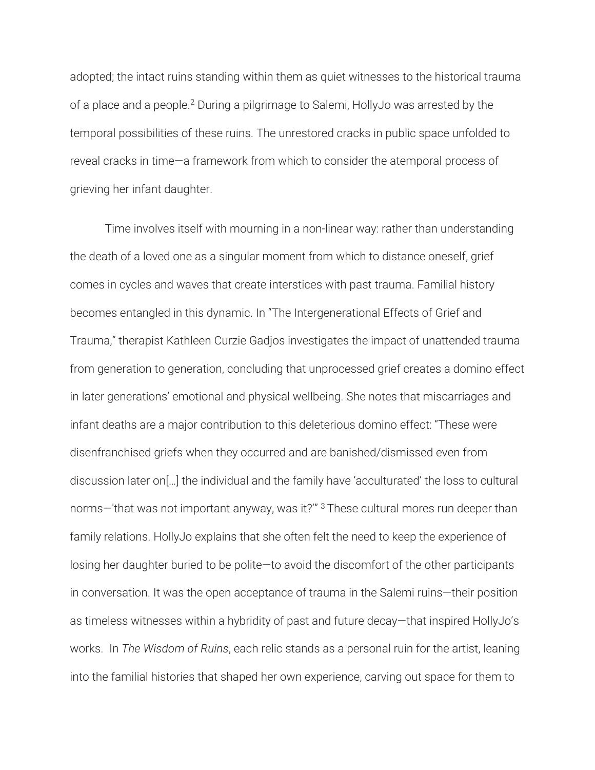adopted; the intact ruins standing within them as quiet witnesses to the historical trauma of a place and a people.2 During a pilgrimage to Salemi, HollyJo was arrested by the temporal possibilities of these ruins. The unrestored cracks in public space unfolded to reveal cracks in time—a framework from which to consider the atemporal process of grieving her infant daughter.

 Time involves itself with mourning in a non-linear way: rather than understanding the death of a loved one as a singular moment from which to distance oneself, grief comes in cycles and waves that create interstices with past trauma. Familial history becomes entangled in this dynamic. In "The Intergenerational Effects of Grief and Trauma," therapist Kathleen Curzie Gadjos investigates the impact of unattended trauma from generation to generation, concluding that unprocessed grief creates a domino effect in later generations' emotional and physical wellbeing. She notes that miscarriages and infant deaths are a major contribution to this deleterious domino effect: "These were disenfranchised griefs when they occurred and are banished/dismissed even from discussion later on[…] the individual and the family have 'acculturated' the loss to cultural norms—'that was not important anyway, was it?'" <sup>3</sup> These cultural mores run deeper than family relations. HollyJo explains that she often felt the need to keep the experience of losing her daughter buried to be polite—to avoid the discomfort of the other participants in conversation. It was the open acceptance of trauma in the Salemi ruins—their position as timeless witnesses within a hybridity of past and future decay—that inspired HollyJo's works. In *The Wisdom of Ruins*, each relic stands as a personal ruin for the artist, leaning into the familial histories that shaped her own experience, carving out space for them to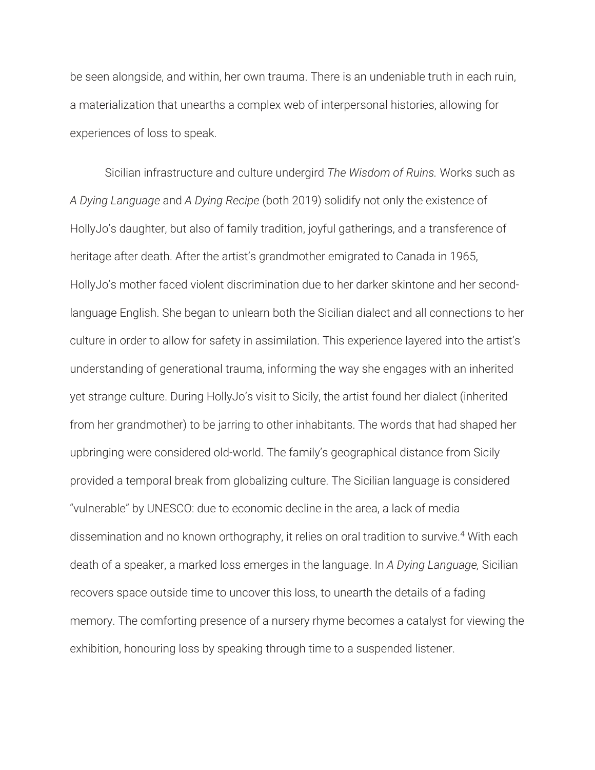be seen alongside, and within, her own trauma. There is an undeniable truth in each ruin, a materialization that unearths a complex web of interpersonal histories, allowing for experiences of loss to speak.

 Sicilian infrastructure and culture undergird *The Wisdom of Ruins.* Works such as *A Dying Language* and *A Dying Recipe* (both 2019) solidify not only the existence of HollyJo's daughter, but also of family tradition, joyful gatherings, and a transference of heritage after death. After the artist's grandmother emigrated to Canada in 1965, HollyJo's mother faced violent discrimination due to her darker skintone and her secondlanguage English. She began to unlearn both the Sicilian dialect and all connections to her culture in order to allow for safety in assimilation. This experience layered into the artist's understanding of generational trauma, informing the way she engages with an inherited yet strange culture. During HollyJo's visit to Sicily, the artist found her dialect (inherited from her grandmother) to be jarring to other inhabitants. The words that had shaped her upbringing were considered old-world. The family's geographical distance from Sicily provided a temporal break from globalizing culture. The Sicilian language is considered "vulnerable" by UNESCO: due to economic decline in the area, a lack of media dissemination and no known orthography, it relies on oral tradition to survive.<sup>4</sup> With each death of a speaker, a marked loss emerges in the language. In *A Dying Language,* Sicilian recovers space outside time to uncover this loss, to unearth the details of a fading memory. The comforting presence of a nursery rhyme becomes a catalyst for viewing the exhibition, honouring loss by speaking through time to a suspended listener.